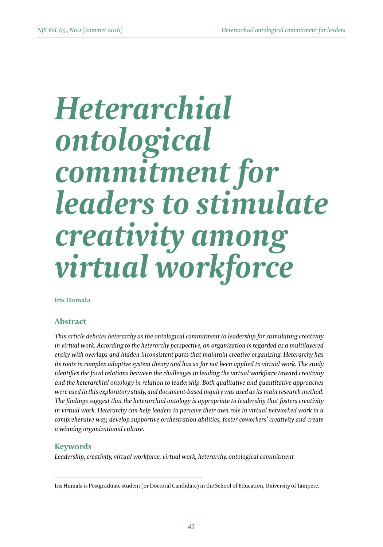# *Heterarchial ontological commitment for leaders to stimulate creativity among virtual workforce*

**Iris Humala**

# **Abstract**

*This article debates heterarchy as the ontological commitment to leadership for stimulating creativity in virtual work. According to the heterarchy perspective, an organization is regarded as a multilayered entity with overlaps and hidden inconsistent parts that maintain creative organizing. Heterarchy has its roots in complex adaptive system theory and has so far not been applied to virtual work. The study identifies the focal relations between the challenges in leading the virtual workforce toward creativity and the heterarchial ontology in relation to leadership. Both qualitative and quantitative approaches were used in this exploratory study, and document-based inquiry was used as its main research method. The findings suggest that the heterarchial ontology is appropriate to leadership that fosters creativity in virtual work. Heterarchy can help leaders to perceive their own role in virtual networked work in a comprehensive way, develop supportive orchestration abilities, foster coworkers' creativity and create a winning organizational culture.*

#### **Keywords**

*Leadership, creativity, virtual workforce, virtual work, heterarchy, ontological commitment*

Iris Humala is Postgraduate student (or Doctoral Candidate) in the School of Education, University of Tampere.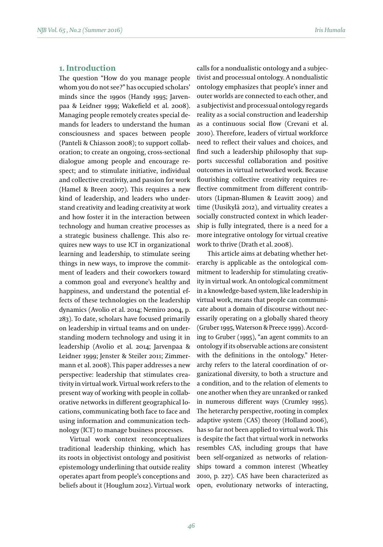# **1. Introduction**

The question "How do you manage people whom you do not see?" has occupied scholars' minds since the 1990s (Handy 1995; Jarvenpaa & Leidner 1999; Wakefield et al. 2008). Managing people remotely creates special demands for leaders to understand the human consciousness and spaces between people (Panteli & Chiasson 2008); to support collaboration; to create an ongoing, cross-sectional dialogue among people and encourage respect; and to stimulate initiative, individual and collective creativity, and passion for work (Hamel & Breen 2007). This requires a new kind of leadership, and leaders who understand creativity and leading creativity at work and how foster it in the interaction between technology and human creative processes as a strategic business challenge. This also requires new ways to use ICT in organizational learning and leadership, to stimulate seeing things in new ways, to improve the commitment of leaders and their coworkers toward a common goal and everyone's healthy and happiness, and understand the potential effects of these technologies on the leadership dynamics (Avolio et al. 2014; Nemiro 2004, p. 283). To date, scholars have focused primarily on leadership in virtual teams and on understanding modern technology and using it in leadership (Avolio et al. 2014; Jarvenpaa & Leidner 1999; Jenster & Steiler 2011; Zimmermann et al. 2008). This paper addresses a new perspective: leadership that stimulates creativity in virtual work. Virtual work refers to the present way of working with people in collaborative networks in different geographical locations, communicating both face to face and using information and communication technology (ICT) to manage business processes.

Virtual work context reconceptualizes traditional leadership thinking, which has its roots in objectivist ontology and positivist epistemology underlining that outside reality operates apart from people's conceptions and beliefs about it (Houglum 2012). Virtual work calls for a nondualistic ontology and a subjectivist and processual ontology. A nondualistic ontology emphasizes that people's inner and outer worlds are connected to each other, and a subjectivist and processual ontology regards reality as a social construction and leadership as a continuous social flow (Crevani et al. 2010). Therefore, leaders of virtual workforce need to reflect their values and choices, and find such a leadership philosophy that supports successful collaboration and positive outcomes in virtual networked work. Because flourishing collective creativity requires reflective commitment from different contributors (Lipman-Blumen & Leavitt 2009) and time (Uusikylä 2012), and virtuality creates a socially constructed context in which leadership is fully integrated, there is a need for a more integrative ontology for virtual creative work to thrive (Drath et al. 2008).

This article aims at debating whether heterarchy is applicable as the ontological commitment to leadership for stimulating creativity in virtual work. An ontological commitment in a knowledge-based system, like leadership in virtual work, means that people can communicate about a domain of discourse without necessarily operating on a globally shared theory (Gruber 1995, Waterson & Preece 1999). According to Gruber (1995), "an agent commits to an ontology if its observable actions are consistent with the definitions in the ontology." Heterarchy refers to the lateral coordination of organizational diversity, to both a structure and a condition, and to the relation of elements to one another when they are unranked or ranked in numerous different ways (Crumley 1995). The heterarchy perspective, rooting in complex adaptive system (CAS) theory (Holland 2006), has so far not been applied to virtual work. This is despite the fact that virtual work in networks resembles CAS, including groups that have been self-organized as networks of relationships toward a common interest (Wheatley 2010, p. 227). CAS have been characterized as open, evolutionary networks of interacting,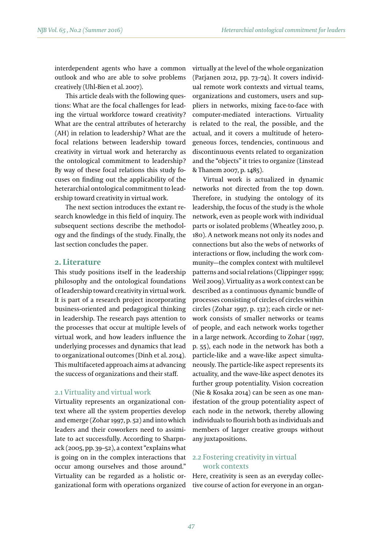interdependent agents who have a common outlook and who are able to solve problems creatively (Uhl-Bien et al. 2007).

This article deals with the following questions: What are the focal challenges for leading the virtual workforce toward creativity? What are the central attributes of heterarchy (AH) in relation to leadership? What are the focal relations between leadership toward creativity in virtual work and heterarchy as the ontological commitment to leadership? By way of these focal relations this study focuses on finding out the applicability of the heterarchial ontological commitment to leadership toward creativity in virtual work.

The next section introduces the extant research knowledge in this field of inquiry. The subsequent sections describe the methodology and the findings of the study. Finally, the last section concludes the paper.

#### **2. Literature**

This study positions itself in the leadership philosophy and the ontological foundations of leadership toward creativity in virtual work. It is part of a research project incorporating business-oriented and pedagogical thinking in leadership. The research pays attention to the processes that occur at multiple levels of virtual work, and how leaders influence the underlying processes and dynamics that lead to organizational outcomes (Dinh et al. 2014). This multifaceted approach aims at advancing the success of organizations and their staff.

#### 2.1 Virtuality and virtual work

Virtuality represents an organizational context where all the system properties develop and emerge (Zohar 1997, p. 52) and into which leaders and their coworkers need to assimilate to act successfully. According to Sharpnack (2005, pp. 39–52), a context "explains what is going on in the complex interactions that occur among ourselves and those around." Virtuality can be regarded as a holistic organizational form with operations organized virtually at the level of the whole organization (Parjanen 2012, pp. 73–74). It covers individual remote work contexts and virtual teams, organizations and customers, users and suppliers in networks, mixing face-to-face with computer-mediated interactions. Virtuality is related to the real, the possible, and the actual, and it covers a multitude of heterogeneous forces, tendencies, continuous and discontinuous events related to organization and the "objects" it tries to organize (Linstead & Thanem 2007, p. 1485).

Virtual work is actualized in dynamic networks not directed from the top down. Therefore, in studying the ontology of its leadership, the focus of the study is the whole network, even as people work with individual parts or isolated problems (Wheatley 2010, p. 180). A network means not only its nodes and connections but also the webs of networks of interactions or flow, including the work community—the complex context with multilevel patterns and social relations (Clippinger 1999; Weil 2009). Virtuality as a work context can be described as a continuous dynamic bundle of processes consisting of circles of circles within circles (Zohar 1997, p. 132); each circle or network consists of smaller networks or teams of people, and each network works together in a large network. According to Zohar (1997, p. 55), each node in the network has both a particle-like and a wave-like aspect simultaneously. The particle-like aspect represents its actuality, and the wave-like aspect denotes its further group potentiality. Vision cocreation (Nie & Kosaka 2014) can be seen as one manifestation of the group potentiality aspect of each node in the network, thereby allowing individuals to flourish both as individuals and members of larger creative groups without any juxtapositions.

#### 2.2 Fostering creativity in virtual work contexts

Here, creativity is seen as an everyday collective course of action for everyone in an organ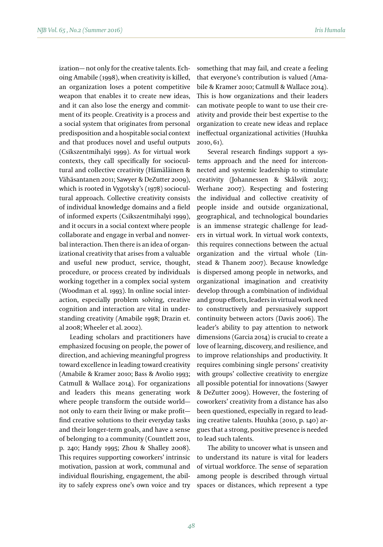ization— not only for the creative talents. Echoing Amabile (1998), when creativity is killed, an organization loses a potent competitive weapon that enables it to create new ideas, and it can also lose the energy and commitment of its people. Creativity is a process and a social system that originates from personal predisposition and a hospitable social context and that produces novel and useful outputs (Csikszentmihalyi 1999). As for virtual work contexts, they call specifically for sociocultural and collective creativity (Hämäläinen & Vähäsantanen 2011; Sawyer & DeZutter 2009), which is rooted in Vygotsky's (1978) sociocultural approach. Collective creativity consists of individual knowledge domains and a field of informed experts (Csikszentmihalyi 1999), and it occurs in a social context where people collaborate and engage in verbal and nonverbal interaction. Then there is an idea of organizational creativity that arises from a valuable and useful new product, service, thought, procedure, or process created by individuals working together in a complex social system (Woodman et al. 1993). In online social interaction, especially problem solving, creative cognition and interaction are vital in understanding creativity (Amabile 1998; Drazin et. al 2008; Wheeler et al. 2002).

Leading scholars and practitioners have emphasized focusing on people, the power of direction, and achieving meaningful progress toward excellence in leading toward creativity (Amabile & Kramer 2010; Bass & Avolio 1993; Catmull & Wallace 2014). For organizations and leaders this means generating work where people transform the outside world not only to earn their living or make profit find creative solutions to their everyday tasks and their longer-term goals, and have a sense of belonging to a community (Countlett 2011, p. 240; Handy 1995; Zhou & Shalley 2008). This requires supporting coworkers' intrinsic motivation, passion at work, communal and individual flourishing, engagement, the ability to safely express one's own voice and try

something that may fail, and create a feeling that everyone's contribution is valued (Amabile & Kramer 2010; Catmull & Wallace 2014). This is how organizations and their leaders can motivate people to want to use their creativity and provide their best expertise to the organization to create new ideas and replace ineffectual organizational activities (Huuhka 2010, 61).

Several research findings support a systems approach and the need for interconnected and systemic leadership to stimulate creativity (Johannessen & Skålsvik 2013; Werhane 2007). Respecting and fostering the individual and collective creativity of people inside and outside organizational, geographical, and technological boundaries is an immense strategic challenge for leaders in virtual work. In virtual work contexts, this requires connections between the actual organization and the virtual whole (Linstead & Thanem 2007). Because knowledge is dispersed among people in networks, and organizational imagination and creativity develop through a combination of individual and group efforts, leaders in virtual work need to constructively and persuasively support continuity between actors (Davis 2006). The leader's ability to pay attention to network dimensions (Garcia 2014) is crucial to create a love of learning, discovery, and resilience, and to improve relationships and productivity. It requires combining single persons' creativity with groups' collective creativity to energize all possible potential for innovations (Sawyer & DeZutter 2009). However, the fostering of coworkers' creativity from a distance has also been questioned, especially in regard to leading creative talents. Huuhka (2010, p. 140) argues that a strong, positive presence is needed to lead such talents.

The ability to uncover what is unseen and to understand its nature is vital for leaders of virtual workforce. The sense of separation among people is described through virtual spaces or distances, which represent a type

*48*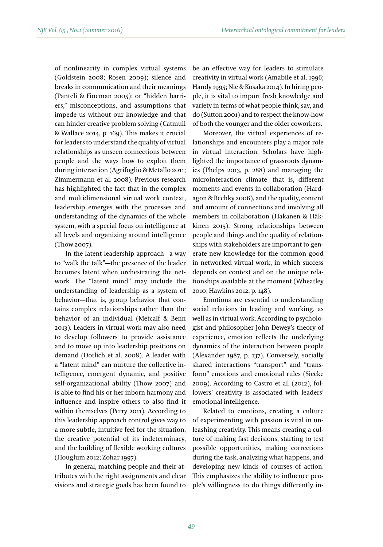of nonlinearity in complex virtual systems (Goldstein 2008; Rosen 2009); silence and breaks in communication and their meanings (Panteli & Fineman 2005); or "hidden barriers," misconceptions, and assumptions that impede us without our knowledge and that can hinder creative problem solving (Catmull & Wallace 2014, p. 169). This makes it crucial for leaders to understand the quality of virtual relationships as unseen connections between people and the ways how to exploit them during interaction (Agrifoglio & Metallo 2011; Zimmermann et al. 2008). Previous research has highlighted the fact that in the complex and multidimensional virtual work context, leadership emerges with the processes and understanding of the dynamics of the whole system, with a special focus on intelligence at all levels and organizing around intelligence (Thow 2007).

In the latent leadership approach—a way to "walk the talk"—the presence of the leader becomes latent when orchestrating the network. The "latent mind" may include the understanding of leadership as a system of behavior—that is, group behavior that contains complex relationships rather than the behavior of an individual (Metcalf & Benn 2013). Leaders in virtual work may also need to develop followers to provide assistance and to move up into leadership positions on demand (Dotlich et al. 2008). A leader with a "latent mind" can nurture the collective intelligence, emergent dynamic, and positive self-organizational ability (Thow 2007) and is able to find his or her inborn harmony and influence and inspire others to also find it within themselves (Perry 2011). According to this leadership approach control gives way to a more subtle, intuitive feel for the situation, the creative potential of its indeterminacy, and the building of flexible working cultures (Houglum 2012; Zohar 1997).

In general, matching people and their attributes with the right assignments and clear visions and strategic goals has been found to be an effective way for leaders to stimulate creativity in virtual work (Amabile et al. 1996; Handy 1995; Nie & Kosaka 2014). In hiring people, it is vital to import fresh knowledge and variety in terms of what people think, say, and do (Sutton 2001) and to respect the know-how of both the younger and the older coworkers.

Moreover, the virtual experiences of relationships and encounters play a major role in virtual interaction. Scholars have highlighted the importance of grassroots dynamics (Phelps 2013, p. 288) and managing the microinteraction climate—that is, different moments and events in collaboration (Hardagon & Bechky 2006), and the quality, content and amount of connections and involving all members in collaboration (Hakanen & Häkkinen 2015). Strong relationships between people and things and the quality of relationships with stakeholders are important to generate new knowledge for the common good in networked virtual work, in which success depends on context and on the unique relationships available at the moment (Wheatley 2010; Hawkins 2012, p. 148).

Emotions are essential to understanding social relations in leading and working, as well as in virtual work. According to psychologist and philosopher John Dewey's theory of experience, emotion reflects the underlying dynamics of the interaction between people (Alexander 1987, p. 137). Conversely, socially shared interactions "transport" and "transform" emotions and emotional rules (Siecke 2009). According to Castro et al. (2012), followers' creativity is associated with leaders' emotional intelligence.

Related to emotions, creating a culture of experimenting with passion is vital in unleashing creativity. This means creating a culture of making fast decisions, starting to test possible opportunities, making corrections during the task, analyzing what happens, and developing new kinds of courses of action. This emphasizes the ability to influence people's willingness to do things differently in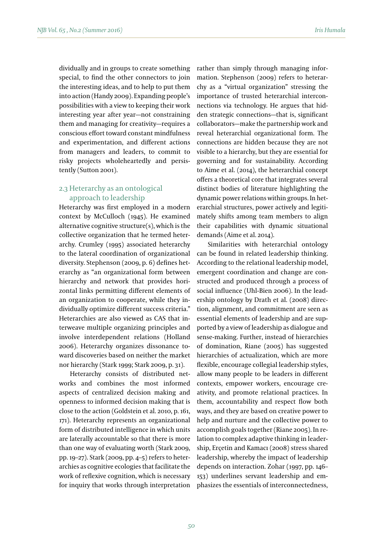dividually and in groups to create something special, to find the other connectors to join the interesting ideas, and to help to put them into action (Handy 2009). Expanding people's possibilities with a view to keeping their work interesting year after year—not constraining them and managing for creativity—requires a conscious effort toward constant mindfulness and experimentation, and different actions from managers and leaders, to commit to risky projects wholeheartedly and persistently (Sutton 2001).

## 2.3 Heterarchy as an ontological approach to leadership

Heterarchy was first employed in a modern context by McCulloch (1945). He examined alternative cognitive structure(s), which is the collective organization that he termed heterarchy. Crumley (1995) associated heterarchy to the lateral coordination of organizational diversity. Stephenson (2009, p. 6) defines heterarchy as "an organizational form between hierarchy and network that provides horizontal links permitting different elements of an organization to cooperate, while they individually optimize different success criteria." Heterarchies are also viewed as CAS that interweave multiple organizing principles and involve interdependent relations (Holland 2006). Heterarchy organizes dissonance toward discoveries based on neither the market nor hierarchy (Stark 1999; Stark 2009, p. 31).

Heterarchy consists of distributed networks and combines the most informed aspects of centralized decision making and openness to informed decision making that is close to the action (Goldstein et al. 2010, p. 161, 171). Heterarchy represents an organizational form of distributed intelligence in which units are laterally accountable so that there is more than one way of evaluating worth (Stark 2009, pp. 19–27). Stark (2009, pp. 4–5) refers to heterarchies as cognitive ecologies that facilitate the work of reflexive cognition, which is necessary for inquiry that works through interpretation rather than simply through managing information. Stephenson (2009) refers to heterarchy as a "virtual organization" stressing the importance of trusted heterarchial interconnections via technology. He argues that hidden strategic connections—that is, significant collaborators—make the partnership work and reveal heterarchial organizational form. The connections are hidden because they are not visible to a hierarchy, but they are essential for governing and for sustainability. According to Aime et al. (2014), the heterarchial concept offers a theoretical core that integrates several distinct bodies of literature highlighting the dynamic power relations within groups. In heterarchial structures, power actively and legitimately shifts among team members to align their capabilities with dynamic situational demands (Aime et al. 2014).

Similarities with heterarchial ontology can be found in related leadership thinking. According to the relational leadership model, emergent coordination and change are constructed and produced through a process of social influence (Uhl-Bien 2006). In the leadership ontology by Drath et al. (2008) direction, alignment, and commitment are seen as essential elements of leadership and are supported by a view of leadership as dialogue and sense-making. Further, instead of hierarchies of domination, Riane (2005) has suggested hierarchies of actualization, which are more flexible, encourage collegial leadership styles, allow many people to be leaders in different contexts, empower workers, encourage creativity, and promote relational practices. In them, accountability and respect flow both ways, and they are based on creative power to help and nurture and the collective power to accomplish goals together (Riane 2005). In relation to complex adaptive thinking in leadership, Erçetin and Kamacı (2008) stress shared leadership, whereby the impact of leadership depends on interaction. Zohar (1997, pp. 146– 153) underlines servant leadership and emphasizes the essentials of interconnectedness,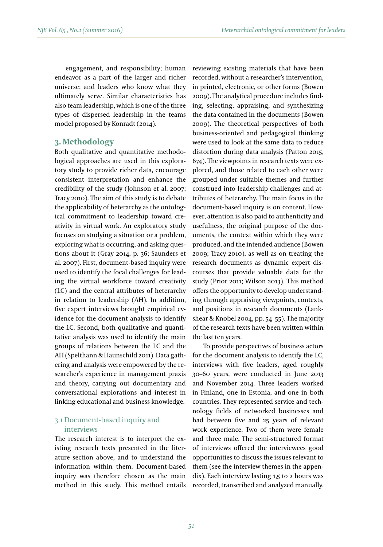engagement, and responsibility; human endeavor as a part of the larger and richer universe; and leaders who know what they ultimately serve. Similar characteristics has also team leadership, which is one of the three types of dispersed leadership in the teams model proposed by Konradt (2014).

#### **3. Methodology**

Both qualitative and quantitative methodological approaches are used in this exploratory study to provide richer data, encourage consistent interpretation and enhance the credibility of the study (Johnson et al. 2007; Tracy 2010). The aim of this study is to debate the applicability of heterarchy as the ontological commitment to leadership toward creativity in virtual work. An exploratory study focuses on studying a situation or a problem, exploring what is occurring, and asking questions about it (Gray 2014, p. 36; Saunders et al. 2007). First, document-based inquiry were used to identify the focal challenges for leading the virtual workforce toward creativity (LC) and the central attributes of heterarchy in relation to leadership (AH). In addition, five expert interviews brought empirical evidence for the document analysis to identify the LC. Second, both qualitative and quantitative analysis was used to identify the main groups of relations between the LC and the AH (Spelthann & Haunschild 2011). Data gathering and analysis were empowered by the researcher's experience in management praxis and theory, carrying out documentary and conversational explorations and interest in linking educational and business knowledge.

# 3.1 Document-based inquiry and interviews

The research interest is to interpret the existing research texts presented in the literature section above, and to understand the information within them. Document-based inquiry was therefore chosen as the main method in this study. This method entails reviewing existing materials that have been recorded, without a researcher's intervention, in printed, electronic, or other forms (Bowen 2009). The analytical procedure includes finding, selecting, appraising, and synthesizing the data contained in the documents (Bowen 2009). The theoretical perspectives of both business-oriented and pedagogical thinking were used to look at the same data to reduce distortion during data analysis (Patton 2015, 674). The viewpoints in research texts were explored, and those related to each other were grouped under suitable themes and further construed into leadership challenges and attributes of heterarchy. The main focus in the document-based inquiry is on content. However, attention is also paid to authenticity and usefulness, the original purpose of the documents, the context within which they were produced, and the intended audience (Bowen 2009; Tracy 2010), as well as on treating the research documents as dynamic expert discourses that provide valuable data for the study (Prior 2011; Wilson 2013). This method offers the opportunity to develop understanding through appraising viewpoints, contexts, and positions in research documents (Lankshear & Knobel 2004, pp. 54–55). The majority of the research texts have been written within the last ten years.

To provide perspectives of business actors for the document analysis to identify the LC, interviews with five leaders, aged roughly 30–60 years, were conducted in June 2013 and November 2014. Three leaders worked in Finland, one in Estonia, and one in both countries. They represented service and technology fields of networked businesses and had between five and 25 years of relevant work experience. Two of them were female and three male. The semi-structured format of interviews offered the interviewees good opportunities to discuss the issues relevant to them (see the interview themes in the appendix). Each interview lasting 1,5 to 2 hours was recorded, transcribed and analyzed manually.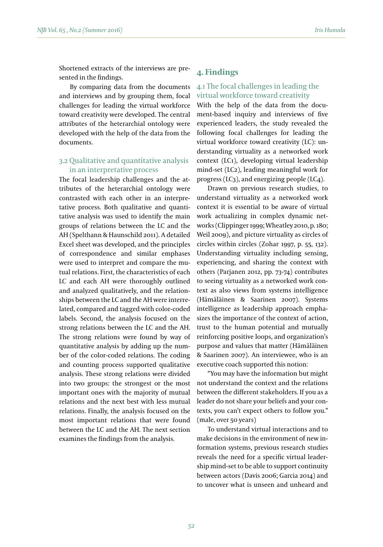Shortened extracts of the interviews are presented in the findings.

By comparing data from the documents and interviews and by grouping them, focal challenges for leading the virtual workforce toward creativity were developed. The central attributes of the heterarchial ontology were developed with the help of the data from the documents.

## 3.2 Qualitative and quantitative analysis in an interpretative process

The focal leadership challenges and the attributes of the heterarchial ontology were contrasted with each other in an interpretative process. Both qualitative and quantitative analysis was used to identify the main groups of relations between the LC and the AH (Spelthann & Haunschild 2011). A detailed Excel sheet was developed, and the principles of correspondence and similar emphases were used to interpret and compare the mutual relations. First, the characteristics of each LC and each AH were thoroughly outlined and analyzed qualitatively, and the relationships between the LC and the AH were interrelated, compared and tagged with color-coded labels. Second, the analysis focused on the strong relations between the LC and the AH. The strong relations were found by way of quantitative analysis by adding up the number of the color-coded relations. The coding and counting process supported qualitative analysis. These strong relations were divided into two groups: the strongest or the most important ones with the majority of mutual relations and the next best with less mutual relations. Finally, the analysis focused on the most important relations that were found between the LC and the AH. The next section examines the findings from the analysis.

#### *Iris Humala*

# **4. Findings**

## 4.1 The focal challenges in leading the virtual workforce toward creativity

With the help of the data from the document-based inquiry and interviews of five experienced leaders, the study revealed the following focal challenges for leading the virtual workforce toward creativity (LC): understanding virtuality as a networked work context (LC1), developing virtual leadership mind-set (LC2), leading meaningful work for progress (LC3), and energizing people (LC4).

Drawn on previous research studies, to understand virtuality as a networked work context it is essential to be aware of virtual work actualizing in complex dynamic networks (Clippinger 1999; Wheatley 2010, p. 180; Weil 2009), and picture virtuality as circles of circles within circles (Zohar 1997, p. 55, 132). Understanding virtuality including sensing, experiencing, and sharing the context with others (Parjanen 2012, pp. 73-74) contributes to seeing virtuality as a networked work context as also views from systems intelligence (Hämäläinen & Saarinen 2007). Systems intelligence as leadership approach emphasizes the importance of the context of action, trust to the human potential and mutually reinforcing positive loops, and organization's purpose and values that matter (Hämäläinen & Saarinen 2007). An interviewee, who is an executive coach supported this notion:

"You may have the information but might not understand the context and the relations between the different stakeholders. If you as a leader do not share your beliefs and your contexts, you can't expect others to follow you." (male, over 50 years)

To understand virtual interactions and to make decisions in the environment of new information systems, previous research studies reveals the need for a specific virtual leadership mind-set to be able to support continuity between actors (Davis 2006; Garcia 2014) and to uncover what is unseen and unheard and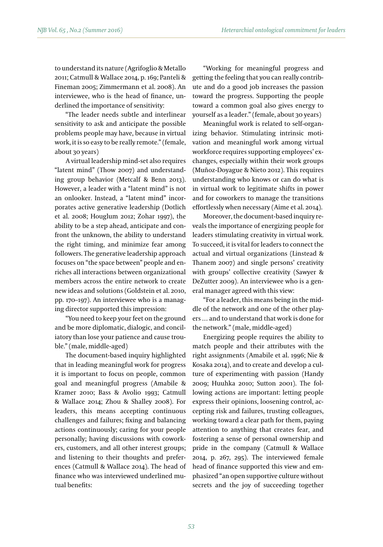to understand its nature (Agrifoglio & Metallo 2011; Catmull & Wallace 2014, p. 169; Panteli & Fineman 2005; Zimmermann et al. 2008). An interviewee, who is the head of finance, underlined the importance of sensitivity:

"The leader needs subtle and interlinear sensitivity to ask and anticipate the possible problems people may have, because in virtual work, it is so easy to be really remote." (female, about 30 years)

A virtual leadership mind-set also requires "latent mind" (Thow 2007) and understanding group behavior (Metcalf & Benn 2013). However, a leader with a "latent mind" is not an onlooker. Instead, a "latent mind" incorporates active generative leadership (Dotlich et al. 2008; Houglum 2012; Zohar 1997), the ability to be a step ahead, anticipate and confront the unknown, the ability to understand the right timing, and minimize fear among followers. The generative leadership approach focuses on "the space between" people and enriches all interactions between organizational members across the entire network to create new ideas and solutions (Goldstein et al. 2010, pp. 170–197). An interviewee who is a managing director supported this impression:

"You need to keep your feet on the ground and be more diplomatic, dialogic, and conciliatory than lose your patience and cause trouble." (male, middle-aged)

The document-based inquiry highlighted that in leading meaningful work for progress it is important to focus on people, common goal and meaningful progress (Amabile & Kramer 2010; Bass & Avolio 1993; Catmull & Wallace 2014; Zhou & Shalley 2008). For leaders, this means accepting continuous challenges and failures; fixing and balancing actions continuously; caring for your people personally; having discussions with coworkers, customers, and all other interest groups; and listening to their thoughts and preferences (Catmull & Wallace 2014). The head of finance who was interviewed underlined mutual benefits:

"Working for meaningful progress and getting the feeling that you can really contribute and do a good job increases the passion toward the progress. Supporting the people toward a common goal also gives energy to yourself as a leader." (female, about 30 years)

Meaningful work is related to self-organizing behavior. Stimulating intrinsic motivation and meaningful work among virtual workforce requires supporting employees' exchanges, especially within their work groups (Muñoz-Doyague & Nieto 2012). This requires understanding who knows or can do what is in virtual work to legitimate shifts in power and for coworkers to manage the transitions effortlessly when necessary (Aime et al. 2014).

Moreover, the document-based inquiry reveals the importance of energizing people for leaders stimulating creativity in virtual work. To succeed, it is vital for leaders to connect the actual and virtual organizations (Linstead & Thanem 2007) and single persons' creativity with groups' collective creativity (Sawyer & DeZutter 2009). An interviewee who is a general manager agreed with this view:

"For a leader, this means being in the middle of the network and one of the other players … and to understand that work is done for the network." (male, middle-aged)

Energizing people requires the ability to match people and their attributes with the right assignments (Amabile et al. 1996; Nie & Kosaka 2014), and to create and develop a culture of experimenting with passion (Handy 2009; Huuhka 2010; Sutton 2001). The following actions are important: letting people express their opinions, loosening control, accepting risk and failures, trusting colleagues, working toward a clear path for them, paying attention to anything that creates fear, and fostering a sense of personal ownership and pride in the company (Catmull & Wallace 2014, p. 267, 295). The interviewed female head of finance supported this view and emphasized "an open supportive culture without secrets and the joy of succeeding together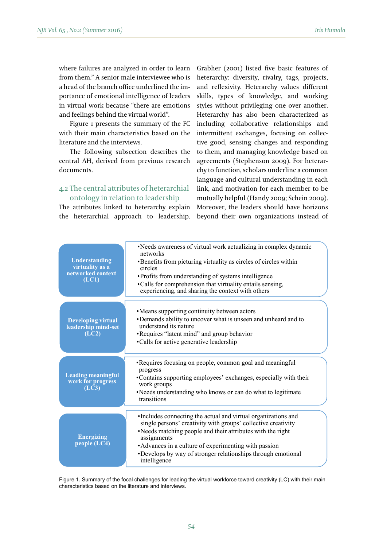where failures are analyzed in order to learn from them." A senior male interviewee who is a head of the branch office underlined the importance of emotional intelligence of leaders in virtual work because "there are emotions and feelings behind the virtual world".

Figure 1 presents the summary of the FC literature and the interviews.

The following subsection describes the documents.

# 4.2 The central attributes of heterarchial ontology in relation to leadership

The attributes linked to heterarchy explain

with their main characteristics based on the intermittent exchanges, focusing on colleccentral AH, derived from previous research agreements (Stephenson 2009). For heterarthe heterarchial approach to leadership. beyond their own organizations instead of Grabher (2001) listed five basic features of heterarchy: diversity, rivalry, tags, projects, and reflexivity. Heterarchy values different skills, types of knowledge, and working styles without privileging one over another. and feelings behind the virtual world". <br>
Heterarchy has also been characterized as including collaborative relationships and intermittent exchanges, focusing on collective good, sensing changes and responding The following subsection describes the to them, and managing knowledge based on agreements (Stephenson 2009). For heterarchy to function, scholars underline a common language and cultural understanding in each link, and motivation for each member to be mutually helpful (Handy 2009; Schein 2009). Moreover, the leaders should have horizons beyond their own organizations instead of

| Understanding<br>virtuality as a<br>networked context<br>(LC1) | •Needs awareness of virtual work actualizing in complex dynamic<br>networks<br>•Benefits from picturing virtuality as circles of circles within<br>circles<br>• Profits from understanding of systems intelligence<br>•Calls for comprehension that virtuality entails sensing,<br>experiencing, and sharing the context with others                  |
|----------------------------------------------------------------|-------------------------------------------------------------------------------------------------------------------------------------------------------------------------------------------------------------------------------------------------------------------------------------------------------------------------------------------------------|
| <b>Developing virtual</b><br>leadership mind-set<br>(LC2)      | • Means supporting continuity between actors<br>•Demands ability to uncover what is unseen and unheard and to<br>understand its nature<br>• Requires "latent mind" and group behavior<br>•Calls for active generative leadership                                                                                                                      |
| <b>Leading meaningful</b><br>work for progress<br>(LC3)        | • Requires focusing on people, common goal and meaningful<br>progress<br>• Contains supporting employees' exchanges, especially with their<br>work groups<br>•Needs understanding who knows or can do what to legitimate<br>transitions                                                                                                               |
| <b>Energizing</b><br>people $(LC4)$                            | • Includes connecting the actual and virtual organizations and<br>single persons' creativity with groups' collective creativity<br>•Needs matching people and their attributes with the right<br>assignments<br>• Advances in a culture of experimenting with passion<br>•Develops by way of stronger relationships through emotional<br>intelligence |

Figure 1. Summary of the focal challenges for leading the virtual workforce toward creativity (LC) with their main Figure 1. Summary of the focal challenges for leading the virtual workforce toward creativity characteristics based on the literature and interviews.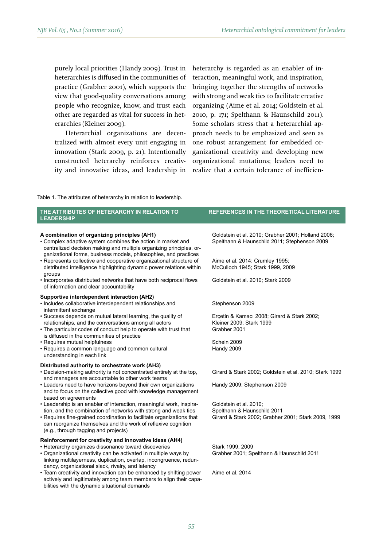purely local priorities (Handy 2009). Trust in heterarchies is diffused in the communities of practice (Grabher 2001), which supports the view that good-quality conversations among people who recognize, know, and trust each other are regarded as vital for success in heterarchies (Kleiner 2009).

Heterarchial organizations are decentralized with almost every unit engaging in innovation (Stark 2009, p. 21). Intentionally constructed heterarchy reinforces creativity and innovative ideas, and leadership in heterarchy is regarded as an enabler of interaction, meaningful work, and inspiration, bringing together the strengths of networks with strong and weak ties to facilitate creative organizing (Aime et al. 2014; Goldstein et al. 2010, p. 171; Spelthann & Haunschild 2011). Some scholars stress that a heterarchial approach needs to be emphasized and seen as one robust arrangement for embedded organizational creativity and developing new organizational mutations; leaders need to realize that a certain tolerance of inefficien-

Table 1. The attributes of heterarchy in relation to leadership.

bilities with the dynamic situational demands

| THE ATTRIBUTES OF HETERARCHY IN RELATION TO<br><b>LEADERSHIP</b>                                                                                                                                                                                                                                                                                                                                      | <b>REFERENCES IN THE THEORETICAL LITERATURE</b>                                                                                                                           |
|-------------------------------------------------------------------------------------------------------------------------------------------------------------------------------------------------------------------------------------------------------------------------------------------------------------------------------------------------------------------------------------------------------|---------------------------------------------------------------------------------------------------------------------------------------------------------------------------|
| A combination of organizing principles (AH1)<br>• Complex adaptive system combines the action in market and<br>centralized decision making and multiple organizing principles, or-<br>ganizational forms, business models, philosophies, and practices<br>• Represents collective and cooperative organizational structure of<br>distributed intelligence highlighting dynamic power relations within | Goldstein et al. 2010; Grabher 2001; Holland 2006;<br>Spelthann & Haunschild 2011; Stephenson 2009<br>Aime et al. 2014; Crumley 1995;<br>McCulloch 1945; Stark 1999, 2009 |
| groups<br>. Incorporates distributed networks that have both reciprocal flows<br>of information and clear accountability                                                                                                                                                                                                                                                                              | Goldstein et al. 2010; Stark 2009                                                                                                                                         |
| Supportive interdependent interaction (AH2)<br>• Includes collaborative interdependent relationships and<br>intermittent exchange                                                                                                                                                                                                                                                                     | Stephenson 2009                                                                                                                                                           |
| • Success depends on mutual lateral learning, the quality of<br>relationships, and the conversations among all actors<br>• The particular codes of conduct help to operate with trust that<br>is diffused in the communities of practice                                                                                                                                                              | Ercetin & Kamacı 2008; Girard & Stark 2002;<br>Kleiner 2009; Stark 1999<br>Grabher 2001                                                                                   |
| • Requires mutual helpfulness<br>• Requires a common language and common cultural<br>understanding in each link                                                                                                                                                                                                                                                                                       | Schein 2009<br>Handy 2009                                                                                                                                                 |
| Distributed authority to orchestrate work (AH3)<br>. Decision-making authority is not concentrated entirely at the top.<br>and managers are accountable to other work teams                                                                                                                                                                                                                           | Girard & Stark 2002; Goldstein et al. 2010; Stark 1999                                                                                                                    |
| • Leaders need to have horizons beyond their own organizations<br>and to focus on the collective good with knowledge management<br>based on agreements                                                                                                                                                                                                                                                | Handy 2009; Stephenson 2009                                                                                                                                               |
| • Leadership is an enabler of interaction, meaningful work, inspira-<br>tion, and the combination of networks with strong and weak ties<br>• Requires fine-grained coordination to facilitate organizations that<br>can reorganize themselves and the work of reflexive cognition<br>(e.g., through tagging and projects)                                                                             | Goldstein et al. 2010;<br>Spelthann & Haunschild 2011<br>Girard & Stark 2002; Grabher 2001; Stark 2009, 1999                                                              |
| Reinforcement for creativity and innovative ideas (AH4)<br>• Heterarchy organizes dissonance toward discoveries<br>• Organizational creativity can be activated in multiple ways by<br>linking multilayerness, duplication, overlap, incongruence, redun-<br>dancy, organizational slack, rivalry, and latency                                                                                        | Stark 1999, 2009<br>Grabher 2001; Spelthann & Haunschild 2011                                                                                                             |
| • Team creativity and innovation can be enhanced by shifting power<br>actively and legitimately among team members to align their capa-                                                                                                                                                                                                                                                               | Aime et al. 2014                                                                                                                                                          |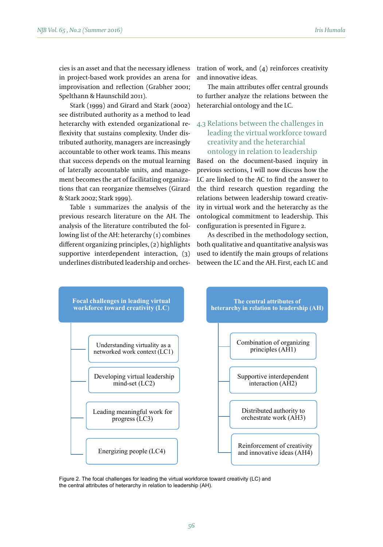Stark (1999) and Girard and Stark (2002) see distributed authority as a method to lead heterarchy with extended organizational reflexivity that sustains complexity. Under distributed authority, managers are increasingly accountable to other work teams. This means that success depends on the mutual learning ment becomes the art of facilitating organizations that can reorganize themselves (Girard & Stark 2002; Stark 1999). heterarchy with extended organizational re- 4.3 Relations between the challenges in

Table 1 summarizes the analysis of the previous research literature on the AH. The lowing list of the AH: heterarchy (1) combines different organizing principles, (2) highlights underlines distributed leadership and orchestration of work, and (4) reinforces creativity and innovative ideas.

The main attributes offer central grounds to further analyze the relations between the heterarchial ontology and the LC.

# leading the virtual workforce toward creativity and the heterarchial ontology in relation to leadership

of laterally accountable units, and manage- previous sections, I will now discuss how the analysis of the literature contributed the fol-<br>analysis of the literature contributed the fol-<br>configuration is presented in Figure 2. Based on the document-based inquiry in previous sections, I will now discuss how the LC are linked to the AC to find the answer to the third research question regarding the relations between leadership toward creativity in virtual work and the heterarchy as the ontological commitment to leadership. This configuration is presented in Figure 2.

supportive interdependent interaction,  $(3)$  used to identify the main groups of relations As described in the methodology section, both and the AC the AC to the AC to the AC to the AC to the AC to the AC to the AC to find the methodology section, used to identify the main groups of relations between the LC and the AH. First, each LC and



Figure 2. The focal challenges for leading the virtual workforce toward creativity (LC) and  $T_{\text{S}}$  and  $T_{\text{S}}$  are  $T_{\text{S}}$  contracting the virtual workforce toward creativity (LC) and the central attributes of heterarchy in relation to leadership (AH).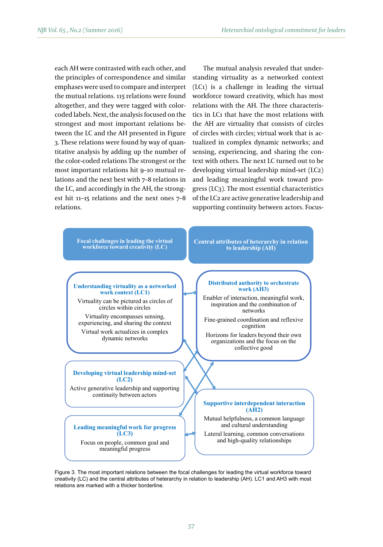each AH were contrasted with each other, and the principles of correspondence and similar emphases were used to compare and interpret the mutual relations. 115 relations were found altogether, and they were tagged with colorcoded labels. Next, the analysis focused on the strongest and most important relations between the LC and the AH presented in Figure 3. These relations were found by way of quantitative analysis by adding up the number of the color-coded relations The strongest or the most important relations hit 9–10 mutual relations and the next best with 7–8 relations in the LC, and accordingly in the AH, the strongest hit 11–15 relations and the next ones 7–8 relations.

The mutual analysis revealed that understanding virtuality as a networked context (LC1) is a challenge in leading the virtual workforce toward creativity, which has most relations with the AH. The three characteristics in LC1 that have the most relations with the AH are virtuality that consists of circles of circles with circles; virtual work that is actualized in complex dynamic networks; and sensing, experiencing, and sharing the context with others. The next LC turned out to be developing virtual leadership mind-set (LC2) and leading meaningful work toward progress (LC3). The most essential characteristics of the LC2 are active generative leadership and supporting continuity between actors. Focus-



Figure 3. The most important relations between the focal challenges for leading the virtual workforce toward creativity (LC) and the central attributes of heterarchy in relation to leadership (AH). LC1 and AH3 with most relations are marked with a thicker borderline.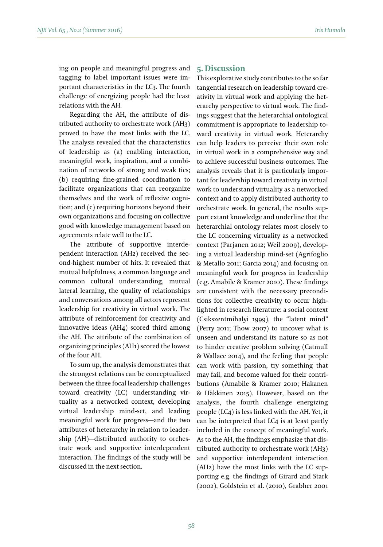ing on people and meaningful progress and tagging to label important issues were important characteristics in the LC3. The fourth challenge of energizing people had the least relations with the AH.

Regarding the AH, the attribute of distributed authority to orchestrate work (AH3) proved to have the most links with the LC. The analysis revealed that the characteristics of leadership as (a) enabling interaction, meaningful work, inspiration, and a combination of networks of strong and weak ties; (b) requiring fine-grained coordination to facilitate organizations that can reorganize themselves and the work of reflexive cognition; and (c) requiring horizons beyond their own organizations and focusing on collective good with knowledge management based on agreements relate well to the LC.

The attribute of supportive interdependent interaction (AH2) received the second-highest number of hits. It revealed that mutual helpfulness, a common language and common cultural understanding, mutual lateral learning, the quality of relationships and conversations among all actors represent leadership for creativity in virtual work. The attribute of reinforcement for creativity and innovative ideas (AH4) scored third among the AH. The attribute of the combination of organizing principles (AH1) scored the lowest of the four AH.

To sum up, the analysis demonstrates that the strongest relations can be conceptualized between the three focal leadership challenges toward creativity (LC)—understanding virtuality as a networked context, developing virtual leadership mind-set, and leading meaningful work for progress—and the two attributes of heterarchy in relation to leadership (AH)—distributed authority to orchestrate work and supportive interdependent interaction. The findings of the study will be discussed in the next section.

#### **5. Discussion**

This explorative study contributes to the so far tangential research on leadership toward creativity in virtual work and applying the heterarchy perspective to virtual work. The findings suggest that the heterarchial ontological commitment is appropriate to leadership toward creativity in virtual work. Heterarchy can help leaders to perceive their own role in virtual work in a comprehensive way and to achieve successful business outcomes. The analysis reveals that it is particularly important for leadership toward creativity in virtual work to understand virtuality as a networked context and to apply distributed authority to orchestrate work. In general, the results support extant knowledge and underline that the heterarchial ontology relates most closely to the LC concerning virtuality as a networked context (Parjanen 2012; Weil 2009), developing a virtual leadership mind-set (Agrifoglio & Metallo 2011; Garcia 2014) and focusing on meaningful work for progress in leadership (e.g. Amabile & Kramer 2010). These findings are consistent with the necessary preconditions for collective creativity to occur highlighted in research literature: a social context (Csikszentmihalyi 1999), the "latent mind" (Perry 2011; Thow 2007) to uncover what is unseen and understand its nature so as not to hinder creative problem solving (Catmull & Wallace 2014), and the feeling that people can work with passion, try something that may fail, and become valued for their contributions (Amabile & Kramer 2010; Hakanen & Häkkinen 2015). However, based on the analysis, the fourth challenge energizing people (LC4) is less linked with the AH. Yet, it can be interpreted that LC4 is at least partly included in the concept of meaningful work. As to the AH, the findings emphasize that distributed authority to orchestrate work (AH3) and supportive interdependent interaction (AH2) have the most links with the LC supporting e.g. the findings of Girard and Stark (2002), Goldstein et al. (2010), Grabher 2001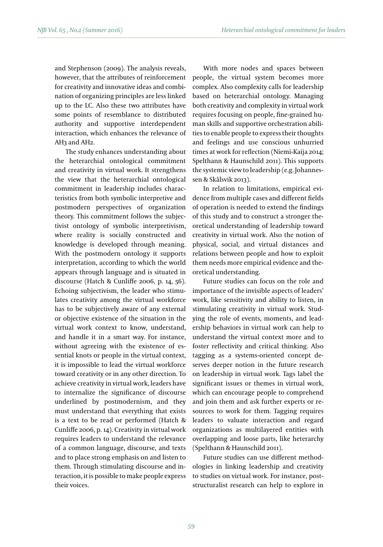and Stephenson (2009). The analysis reveals, however, that the attributes of reinforcement for creativity and innovative ideas and combination of organizing principles are less linked up to the LC. Also these two attributes have some points of resemblance to distributed authority and supportive interdependent interaction, which enhances the relevance of AH3 and AH2.

The study enhances understanding about the heterarchial ontological commitment and creativity in virtual work. It strengthens the view that the heterarchial ontological commitment in leadership includes characteristics from both symbolic interpretive and postmodern perspectives of organization theory. This commitment follows the subjectivist ontology of symbolic interpretivism, where reality is socially constructed and knowledge is developed through meaning. With the postmodern ontology it supports interpretation, according to which the world appears through language and is situated in discourse (Hatch & Cunliffe 2006, p. 14, 56). Echoing subjectivism, the leader who stimulates creativity among the virtual workforce has to be subjectively aware of any external or objective existence of the situation in the virtual work context to know, understand, and handle it in a smart way. For instance, without agreeing with the existence of essential knots or people in the virtual context, it is impossible to lead the virtual workforce toward creativity or in any other direction. To achieve creativity in virtual work, leaders have to internalize the significance of discourse underlined by postmodernism, and they must understand that everything that exists is a text to be read or performed (Hatch & Cunliffe 2006, p. 14). Creativity in virtual work requires leaders to understand the relevance of a common language, discourse, and texts and to place strong emphasis on and listen to them. Through stimulating discourse and interaction, it is possible to make people express their voices.

With more nodes and spaces between people, the virtual system becomes more complex. Also complexity calls for leadership based on heterarchial ontology. Managing both creativity and complexity in virtual work requires focusing on people, fine-grained human skills and supportive orchestration abilities to enable people to express their thoughts and feelings and use conscious unhurried times at work for reflection (Niemi-Kaija 2014; Spelthann & Haunschild 2011). This supports the systemic view to leadership (e.g. Johannessen & Skålsvik 2013).

In relation to limitations, empirical evidence from multiple cases and different fields of operation is needed to extend the findings of this study and to construct a stronger theoretical understanding of leadership toward creativity in virtual work. Also the notion of physical, social, and virtual distances and relations between people and how to exploit them needs more empirical evidence and theoretical understanding.

Future studies can focus on the role and importance of the invisible aspects of leaders' work, like sensitivity and ability to listen, in stimulating creativity in virtual work. Studying the role of events, moments, and leadership behaviors in virtual work can help to understand the virtual context more and to foster reflectivity and critical thinking. Also tagging as a systems-oriented concept deserves deeper notion in the future research on leadership in virtual work. Tags label the significant issues or themes in virtual work, which can encourage people to comprehend and join them and ask further experts or resources to work for them. Tagging requires leaders to valuate interaction and regard organizations as multilayered entities with overlapping and loose parts, like heterarchy (Spelthann & Haunschild 2011).

Future studies can use different methodologies in linking leadership and creativity to studies on virtual work. For instance, poststructuralist research can help to explore in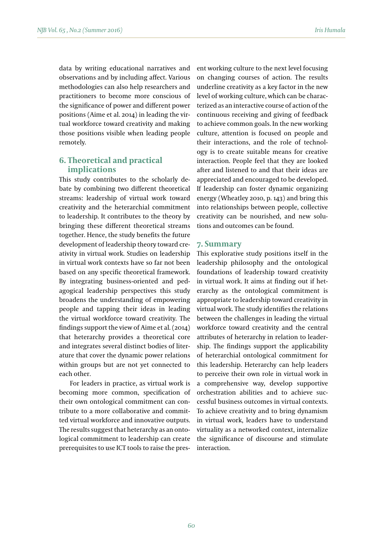data by writing educational narratives and observations and by including affect. Various methodologies can also help researchers and practitioners to become more conscious of the significance of power and different power positions (Aime et al. 2014) in leading the virtual workforce toward creativity and making those positions visible when leading people remotely.

# **6. Theoretical and practical implications**

This study contributes to the scholarly debate by combining two different theoretical streams: leadership of virtual work toward creativity and the heterarchial commitment to leadership. It contributes to the theory by bringing these different theoretical streams together. Hence, the study benefits the future development of leadership theory toward creativity in virtual work. Studies on leadership in virtual work contexts have so far not been based on any specific theoretical framework. By integrating business-oriented and pedagogical leadership perspectives this study broadens the understanding of empowering people and tapping their ideas in leading the virtual workforce toward creativity. The findings support the view of Aime et al. (2014) that heterarchy provides a theoretical core and integrates several distinct bodies of literature that cover the dynamic power relations within groups but are not yet connected to each other.

For leaders in practice, as virtual work is becoming more common, specification of their own ontological commitment can contribute to a more collaborative and committed virtual workforce and innovative outputs. The results suggest that heterarchy as an ontological commitment to leadership can create prerequisites to use ICT tools to raise the present working culture to the next level focusing on changing courses of action. The results underline creativity as a key factor in the new level of working culture, which can be characterized as an interactive course of action of the continuous receiving and giving of feedback to achieve common goals. In the new working culture, attention is focused on people and their interactions, and the role of technology is to create suitable means for creative interaction. People feel that they are looked after and listened to and that their ideas are appreciated and encouraged to be developed. If leadership can foster dynamic organizing energy (Wheatley 2010, p. 143) and bring this into relationships between people, collective creativity can be nourished, and new solutions and outcomes can be found.

#### **7. Summary**

This explorative study positions itself in the leadership philosophy and the ontological foundations of leadership toward creativity in virtual work. It aims at finding out if heterarchy as the ontological commitment is appropriate to leadership toward creativity in virtual work. The study identifies the relations between the challenges in leading the virtual workforce toward creativity and the central attributes of heterarchy in relation to leadership. The findings support the applicability of heterarchial ontological commitment for this leadership. Heterarchy can help leaders to perceive their own role in virtual work in a comprehensive way, develop supportive orchestration abilities and to achieve successful business outcomes in virtual contexts. To achieve creativity and to bring dynamism in virtual work, leaders have to understand virtuality as a networked context, internalize the significance of discourse and stimulate interaction.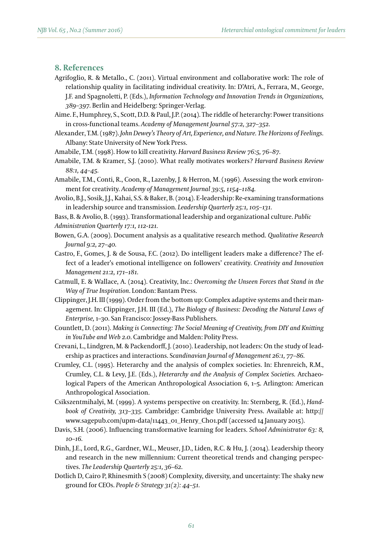#### **8. References**

- Agrifoglio, R. & Metallo., C. (2011). Virtual environment and collaborative work: The role of relationship quality in facilitating individual creativity. In: D'Atri, A., Ferrara, M., George, J.F. and Spagnoletti, P. (Eds.), *Information Technology and Innovation Trends in Organizations, 389–397.* Berlin and Heidelberg: Springer-Verlag.
- Aime. F., Humphrey, S., Scott, D.D. & Paul, J.P. (2014). The riddle of heterarchy: Power transitions in cross-functional teams. *Academy of Management Journal 57:2, 327–352.*
- Alexander, T.M. (1987). *John Dewey's Theory of Art, Experience, and Nature. The Horizons of Feelings.* Albany: State University of New York Press.

Amabile, T.M. (1998). How to kill creativity. *Harvard Business Review 76:5, 76–87.*

- Amabile, T.M. & Kramer, S.J. (2010). What really motivates workers? *Harvard Business Review 88:1, 44–45.*
- Amabile, T.M., Conti, R., Coon, R., Lazenby, J. & Herron, M. (1996). Assessing the work environment for creativity. *Academy of Management Journal 39:5, 1154–1184.*
- Avolio, B.J., Sosik, J.J., Kahai, S.S. & Baker, B. (2014). E-leadership: Re-examining transformations in leadership source and transmission. *Leadership Quarterly 25:1, 105–131.*
- Bass, B. & Avolio, B. (1993). Transformational leadership and organizational culture. *Public Administration Quarterly 17:1, 112-121.*
- Bowen, G.A. (2009). Document analysis as a qualitative research method. *Qualitative Research Journal 9:2, 27–40.*
- Castro, F., Gomes, J. & de Sousa, F.C. (2012). Do intelligent leaders make a difference? The effect of a leader's emotional intelligence on followers' creativity. *Creativity and Innovation Management 21:2, 171–181.*
- Catmull, E. & Wallace, A. (2014). Creativity, Inc.: *Overcoming the Unseen Forces that Stand in the Way of True Inspiration*. London: Bantam Press.
- Clippinger, J.H. III (1999). Order from the bottom up: Complex adaptive systems and their management. In: Clippinger, J.H. III (Ed.), *The Biology of Business: Decoding the Natural Laws of Enterprise,* 1–30. San Francisco: Jossey-Bass Publishers.
- Countlett, D. (2011). *Making is Connecting: The Social Meaning of Creativity, from DIY and Knitting in YouTube and Web 2.0*. Cambridge and Malden: Polity Press.
- Crevani, L., Lindgren, M. & Packendorff, J. (2010). Leadership, not leaders: On the study of leadership as practices and interactions. S*candinavian Journal of Management 26:1, 77–86.*
- Crumley, C.L. (1995). Heterarchy and the analysis of complex societies. In: Ehrenreich, R.M., Crumley, C.L. & Levy, J.E. (Eds.), *Heterarchy and the Analysis of Complex Societies.* Archaeological Papers of the American Anthropological Association 6, 1–5. Arlington: American Anthropological Association.
- Csikszentmihalyi, M. (1999). A systems perspective on creativity. In: Sternberg, R. (Ed.), *Handbook of Creativity, 313–335.* Cambridge: Cambridge University Press. Available at: http:// www.sagepub.com/upm-data/11443\_01\_Henry\_Ch01.pdf (accessed 14 January 2015).
- Davis, S.H. (2006). Influencing transformative learning for leaders. *School Administrator 63: 8, 10–16.*
- Dinh, J.E., Lord, R.G., Gardner, W.L., Meuser, J.D., Liden, R.C. & Hu, J. (2014). Leadership theory and research in the new millennium: Current theoretical trends and changing perspectives. *The Leadership Quarterly 25:1, 36–62.*
- Dotlich D, Cairo P, Rhinesmith S (2008) Complexity, diversity, and uncertainty: The shaky new ground for CEOs. *People & Strategy 31(2): 44–51.*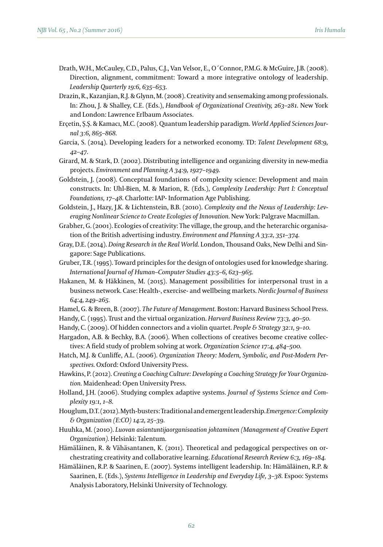- Drath, W.H., McCauley, C.D., Palus, C.J., Van Velsor, E., O´Connor, P.M.G. & McGuire, J.B. (2008). Direction, alignment, commitment: Toward a more integrative ontology of leadership. *Leadership Quarterly 19:6, 635–653.*
- Drazin, R., Kazanjian, R.J. & Glynn, M. (2008). Creativity and sensemaking among professionals. In: Zhou, J. & Shalley, C.E. (Eds.), *Handbook of Organizational Creativity, 263–281.* New York and London: Lawrence Erlbaum Associates.
- Erçetin, Ş.Ş. & Kamacı, M.C. (2008). Quantum leadership paradigm. *World Applied Sciences Journal 3:6, 865–868.*
- Garcia, S. (2014). Developing leaders for a networked economy. TD: *Talent Development 68:9, 42–47.*
- Girard, M. & Stark, D. (2002). Distributing intelligence and organizing diversity in new-media projects. *Environment and Planning A 34:9, 1927–1949.*
- Goldstein, J. (2008). Conceptual foundations of complexity science: Development and main constructs. In: Uhl-Bien, M. & Marion, R. (Eds.), *Complexity Leadership: Part I: Conceptual Foundations, 17–48.* Charlotte: IAP- Information Age Publishing.

Goldstein, J., Hazy, J.K. & Lichtenstein, B.B. (2010). *Complexity and the Nexus of Leadership: Leveraging Nonlinear Science to Create Ecologies of Innovation.* New York: Palgrave Macmillan.

- Grabher, G. (2001). Ecologies of creativity: The village, the group, and the heterarchic organisation of the British advertising industry. *Environment and Planning A 33:2, 351–374.*
- Gray, D.E. (2014). *Doing Research in the Real World.* London, Thousand Oaks, New Delhi and Singapore: Sage Publications.
- Gruber, T.R. (1995). Toward principles for the design of ontologies used for knowledge sharing. *International Journal of Human–Computer Studies 43:5–6, 623–965.*
- Hakanen, M. & Häkkinen, M. (2015). Management possibilities for interpersonal trust in a business network. Case: Health-, exercise- and wellbeing markets. *Nordic Journal of Business 64:4, 249–265.*
- Hamel, G. & Breen, B. (2007). *The Future of Management.* Boston: Harvard Business School Press.
- Handy, C. (1995). Trust and the virtual organization. *Harvard Business Review 73:3, 40–50.*
- Handy, C. (2009). Of hidden connectors and a violin quartet. *People & Strategy 32:1, 9–10.*
- Hargadon, A.B. & Bechky, B.A. (2006). When collections of creatives become creative collectives: A field study of problem solving at work. *Organization Science 17:4, 484–500.*
- Hatch, M.J. & Cunliffe, A.L. (2006). *Organization Theory: Modern, Symbolic, and Post-Modern Perspectives.* Oxford: Oxford University Press.
- Hawkins, P. (2012). *Creating a Coaching Culture: Developing a Coaching Strategy for Your Organization.* Maidenhead: Open University Press.
- Holland, J.H. (2006). Studying complex adaptive systems. *Journal of Systems Science and Complexity 19:1, 1–8.*
- Houglum, D.T. (2012). Myth-busters: Traditional and emergent leadership. *Emergence: Complexity & Organization (E:CO) 14:2, 25–39.*
- Huuhka, M. (2010). *Luovan asiantuntijaorganisaation johtaminen (Management of Creative Expert Organization).* Helsinki: Talentum.
- Hämäläinen, R. & Vähäsantanen, K. (2011). Theoretical and pedagogical perspectives on orchestrating creativity and collaborative learning. *Educational Research Review 6:3, 169–184.*
- Hämäläinen, R.P. & Saarinen, E. (2007). Systems intelligent leadership. In: Hämäläinen, R.P. & Saarinen, E. (Eds.), *Systems Intelligence in Leadership and Everyday Life, 3–38.* Espoo: Systems Analysis Laboratory, Helsinki University of Technology.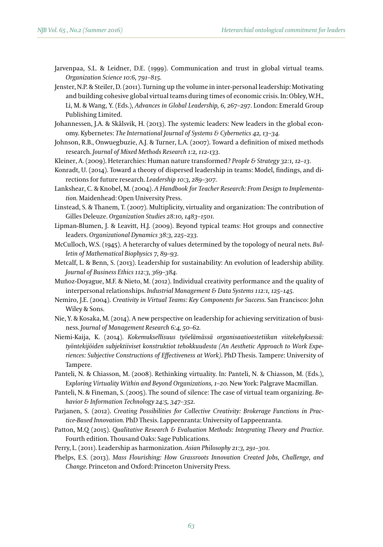- Jarvenpaa, S.L. & Leidner, D.E. (1999). Communication and trust in global virtual teams. *Organization Science 10:6, 791–815.*
- Jenster, N.P. & Steiler, D. (2011). Turning up the volume in inter-personal leadership: Motivating and building cohesive global virtual teams during times of economic crisis. In: Obley, W.H., Li, M. & Wang, Y. (Eds.), *Advances in Global Leadership, 6, 267–297*. London: Emerald Group Publishing Limited.
- Johannessen, J.A. & Skålsvik, H. (2013). The systemic leaders: New leaders in the global economy. Kybernetes: *The International Journal of Systems & Cybernetics 42, 13–34.*
- Johnson, R.B., Onwuegbuzie, A.J. & Turner, L.A. (2007). Toward a definition of mixed methods research. *Journal of Mixed Methods Research 1:2, 112-133.*
- Kleiner, A. (2009). Heterarchies: Human nature transformed? *People & Strategy 32:1, 12–13.*
- Konradt, U. (2014). Toward a theory of dispersed leadership in teams: Model, findings, and directions for future research. *Leadership 10:3, 289–307.*
- Lankshear, C. & Knobel, M. (2004). *A Handbook for Teacher Research: From Design to Implementation.* Maidenhead: Open University Press.
- Linstead, S. & Thanem, T. (2007). Multiplicity, virtuality and organization: The contribution of Gilles Deleuze. *Organization Studies 28:10, 1483–1501.*
- Lipman-Blumen, J. & Leavitt, H.J. (2009). Beyond typical teams: Hot groups and connective leaders. *Organizational Dynamics 38:3, 225–233.*
- McCulloch, W.S. (1945). A heterarchy of values determined by the topology of neural nets. *Bulletin of Mathematical Biophysics 7, 89–93.*
- Metcalf, L. & Benn, S. (2013). Leadership for sustainability: An evolution of leadership ability. *Journal of Business Ethics 112:3, 369–384.*
- Muñoz-Doyague, M.F. & Nieto, M. (2012). Individual creativity performance and the quality of interpersonal relationships. *Industrial Management & Data Systems 112:1, 125–145.*
- Nemiro, J.E. (2004). *Creativity in Virtual Teams: Key Components for Success.* San Francisco: John Wiley & Sons.
- Nie, Y. & Kosaka, M. (2014). A new perspective on leadership for achieving servitization of business. *Journal of Management Research 6:4, 50–62.*
- Niemi-Kaija, K. (2014). *Kokemuksellisuus työelämässä organisaatioestetiikan viitekehyksessä: työntekijöiden subjektiiviset konstruktiot tehokkuudesta (An Aesthetic Approach to Work Experiences: Subjective Constructions of Effectiveness at Work).* PhD Thesis. Tampere: University of Tampere.
- Panteli, N. & Chiasson, M. (2008). Rethinking virtuality. In: Panteli, N. & Chiasson, M. (Eds.), Exploring Virtuality Within and Beyond Organizations, 1-20. New York: Palgrave Macmillan.
- Panteli, N. & Fineman, S. (2005). The sound of silence: The case of virtual team organizing. *Behavior & Information Technology 24:5, 347–352.*
- Parjanen, S. (2012). *Creating Possibilities for Collective Creativity: Brokerage Functions in Practice-Based Innovation.* PhD Thesis. Lappeenranta: University of Lappeenranta.
- Patton, M.Q (2015). *Qualitative Research & Evaluation Methods: Integrating Theory and Practice.*  Fourth edition. Thousand Oaks: Sage Publications.
- Perry, L. (2011). Leadership as harmonization. *Asian Philosophy 21:3, 291–301.*
- Phelps, E.S. (2013). *Mass Flourishing: How Grassroots Innovation Created Jobs, Challenge, and Change.* Princeton and Oxford: Princeton University Press.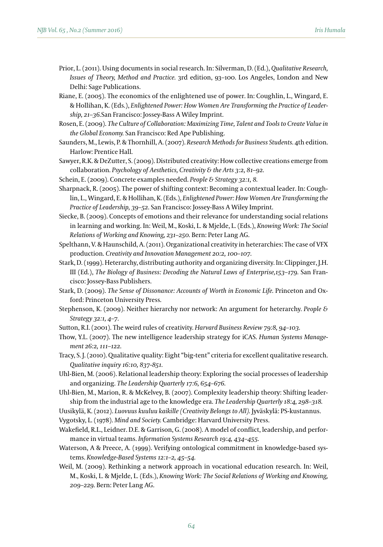- Prior, L. (2011). Using documents in social research. In: Silverman, D. (Ed.), *Qualitative Research, Issues of Theory, Method and Practice.* 3rd edition, 93–100. Los Angeles, London and New Delhi: Sage Publications.
- Riane, E. (2005). The economics of the enlightened use of power. In: Coughlin, L., Wingard, E. & Hollihan, K. (Eds.), *Enlightened Power: How Women Are Transforming the Practice of Leadership, 21–36.*San Francisco: Jossey-Bass A Wiley Imprint.
- Rosen, E. (2009). *The Culture of Collaboration: Maximizing Time, Talent and Tools to Create Value in the Global Economy.* San Francisco: Red Ape Publishing.
- Saunders, M., Lewis, P. & Thornhill, A. (2007). *Research Methods for Business Students.* 4th edition. Harlow: Prentice Hall.
- Sawyer, R.K. & DeZutter, S. (2009). Distributed creativity: How collective creations emerge from collaboration. *Psychology of Aesthetics, Creativity & the Arts 3:2, 81–92.*
- Schein, E. (2009). Concrete examples needed. *People & Strategy 32:1, 8.*
- Sharpnack, R. (2005). The power of shifting context: Becoming a contextual leader. In: Coughlin, L., Wingard, E. & Hollihan, K. (Eds.), *Enlightened Power: How Women Are Transforming the Practice of Leadership, 39–52*. San Francisco: Jossey-Bass A Wiley Imprint.
- Siecke, B. (2009). Concepts of emotions and their relevance for understanding social relations in learning and working. In: Weil, M., Koski, L. & Mjelde, L. (Eds.), *Knowing Work: The Social Relations of Working and Knowing, 231–250.* Bern: Peter Lang AG.
- Spelthann, V. & Haunschild, A. (2011). Organizational creativity in heterarchies: The case of VFX production. *Creativity and Innovation Management 20:2, 100–107.*
- Stark, D. (1999). Heterarchy, distributing authority and organizing diversity. In: Clippinger, J.H. III (Ed.), *The Biology of Business: Decoding the Natural Laws of Enterprise,153-179.* San Francisco: Jossey-Bass Publishers.
- Stark, D. (2009). *The Sense of Dissonance: Accounts of Worth in Economic Life.* Princeton and Oxford: Princeton University Press.
- Stephenson, K. (2009). Neither hierarchy nor network: An argument for heterarchy. *People & Strategy 32:1, 4–7.*
- Sutton, R.I. (2001). The weird rules of creativity. *Harvard Business Review 79:8, 94–103.*
- Thow, Y.L. (2007). The new intelligence leadership strategy for iCAS. *Human Systems Management 26:2, 111–122.*
- Tracy, S. J. (2010). Qualitative quality: Eight "big-tent" criteria for excellent qualitative research. *Qualitative inquiry 16:10, 837-851.*
- Uhl-Bien, M. (2006). Relational leadership theory: Exploring the social processes of leadership and organizing. *The Leadership Quarterly 17:6, 654–676.*
- Uhl-Bien, M., Marion, R. & McKelvey, B. (2007). Complexity leadership theory: Shifting leadership from the industrial age to the knowledge era. *The Leadership Quarterly 18:4, 298–318.*

Uusikylä, K. (2012). *Luovuus kuuluu kaikille (Creativity Belongs to All).* Jyväskylä: PS-kustannus.

- Vygotsky, L. (1978). *Mind and Society.* Cambridge: Harvard University Press.
- Wakefield, R.L., Leidner. D.E. & Garrison, G. (2008). A model of conflict, leadership, and performance in virtual teams. *Information Systems Research 19:4, 434–455.*
- Waterson, A & Preece, A. (1999). Verifying ontological commitment in knowledge-based systems. *Knowledge-Based Systems 12:1–2, 45–54.*
- Weil, M. (2009). Rethinking a network approach in vocational education research. In: Weil, M., Koski, L. & Mjelde, L. (Eds.), *Knowing Work: The Social Relations of Working and Knowing, 209–229.* Bern: Peter Lang AG.